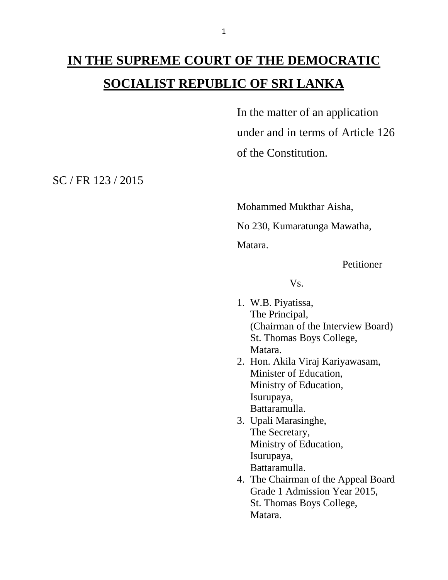## **IN THE SUPREME COURT OF THE DEMOCRATIC SOCIALIST REPUBLIC OF SRI LANKA**

In the matter of an application under and in terms of Article 126 of the Constitution.

SC / FR 123 / 2015

Mohammed Mukthar Aisha,

No 230, Kumaratunga Mawatha,

Matara.

Petitioner

Vs.

- 1. W.B. Piyatissa, The Principal, (Chairman of the Interview Board) St. Thomas Boys College, Matara.
- 2. Hon. Akila Viraj Kariyawasam, Minister of Education, Ministry of Education, Isurupaya, Battaramulla.
- 3. Upali Marasinghe, The Secretary, Ministry of Education, Isurupaya, Battaramulla.
- 4. The Chairman of the Appeal Board Grade 1 Admission Year 2015, St. Thomas Boys College, Matara.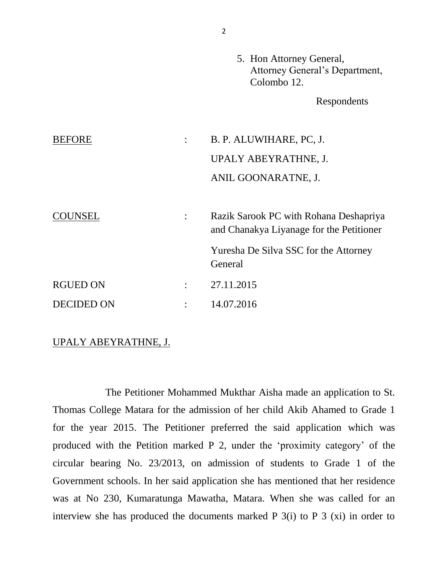|                   |                | 5. Hon Attorney General,<br>Attorney General's Department,<br>Colombo 12.          |
|-------------------|----------------|------------------------------------------------------------------------------------|
|                   |                | Respondents                                                                        |
| <b>BEFORE</b>     | $\ddot{\cdot}$ | B. P. ALUWIHARE, PC, J.                                                            |
|                   |                | UPALY ABEYRATHNE, J.                                                               |
|                   |                | ANIL GOONARATNE, J.                                                                |
| COUNSEL           | $\ddot{\cdot}$ | Razik Sarook PC with Rohana Deshapriya<br>and Chanakya Liyanage for the Petitioner |
|                   |                | Yuresha De Silva SSC for the Attorney<br>General                                   |
| <b>RGUED ON</b>   | $\ddot{\cdot}$ | 27.11.2015                                                                         |
| <b>DECIDED ON</b> |                | 14.07.2016                                                                         |

## UPALY ABEYRATHNE, J.

The Petitioner Mohammed Mukthar Aisha made an application to St. Thomas College Matara for the admission of her child Akib Ahamed to Grade 1 for the year 2015. The Petitioner preferred the said application which was produced with the Petition marked P 2, under the 'proximity category' of the circular bearing No. 23/2013, on admission of students to Grade 1 of the Government schools. In her said application she has mentioned that her residence was at No 230, Kumaratunga Mawatha, Matara. When she was called for an interview she has produced the documents marked P 3(i) to P 3 (xi) in order to

2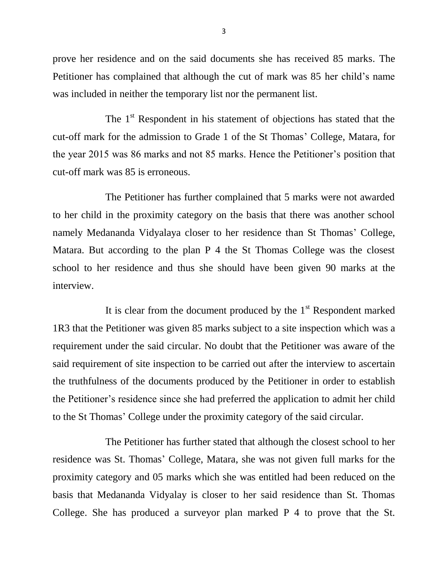prove her residence and on the said documents she has received 85 marks. The Petitioner has complained that although the cut of mark was 85 her child's name was included in neither the temporary list nor the permanent list.

The 1<sup>st</sup> Respondent in his statement of objections has stated that the cut-off mark for the admission to Grade 1 of the St Thomas' College, Matara, for the year 2015 was 86 marks and not 85 marks. Hence the Petitioner's position that cut-off mark was 85 is erroneous.

The Petitioner has further complained that 5 marks were not awarded to her child in the proximity category on the basis that there was another school namely Medananda Vidyalaya closer to her residence than St Thomas' College, Matara. But according to the plan P 4 the St Thomas College was the closest school to her residence and thus she should have been given 90 marks at the interview.

It is clear from the document produced by the  $1<sup>st</sup>$  Respondent marked 1R3 that the Petitioner was given 85 marks subject to a site inspection which was a requirement under the said circular. No doubt that the Petitioner was aware of the said requirement of site inspection to be carried out after the interview to ascertain the truthfulness of the documents produced by the Petitioner in order to establish the Petitioner's residence since she had preferred the application to admit her child to the St Thomas' College under the proximity category of the said circular.

The Petitioner has further stated that although the closest school to her residence was St. Thomas' College, Matara, she was not given full marks for the proximity category and 05 marks which she was entitled had been reduced on the basis that Medananda Vidyalay is closer to her said residence than St. Thomas College. She has produced a surveyor plan marked P 4 to prove that the St.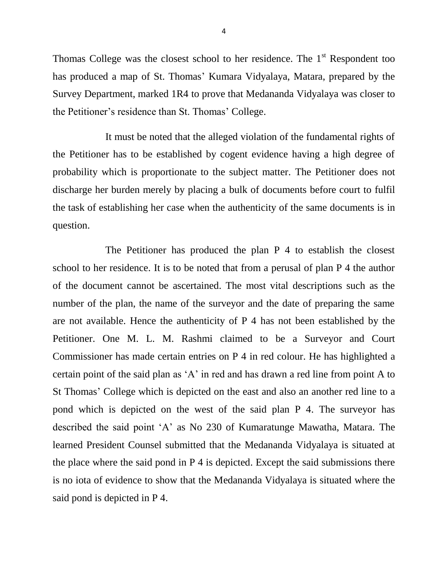Thomas College was the closest school to her residence. The  $1<sup>st</sup>$  Respondent too has produced a map of St. Thomas' Kumara Vidyalaya, Matara, prepared by the Survey Department, marked 1R4 to prove that Medananda Vidyalaya was closer to the Petitioner's residence than St. Thomas' College.

It must be noted that the alleged violation of the fundamental rights of the Petitioner has to be established by cogent evidence having a high degree of probability which is proportionate to the subject matter. The Petitioner does not discharge her burden merely by placing a bulk of documents before court to fulfil the task of establishing her case when the authenticity of the same documents is in question.

The Petitioner has produced the plan P 4 to establish the closest school to her residence. It is to be noted that from a perusal of plan P 4 the author of the document cannot be ascertained. The most vital descriptions such as the number of the plan, the name of the surveyor and the date of preparing the same are not available. Hence the authenticity of P 4 has not been established by the Petitioner. One M. L. M. Rashmi claimed to be a Surveyor and Court Commissioner has made certain entries on P 4 in red colour. He has highlighted a certain point of the said plan as 'A' in red and has drawn a red line from point A to St Thomas' College which is depicted on the east and also an another red line to a pond which is depicted on the west of the said plan P 4. The surveyor has described the said point 'A' as No 230 of Kumaratunge Mawatha, Matara. The learned President Counsel submitted that the Medananda Vidyalaya is situated at the place where the said pond in P 4 is depicted. Except the said submissions there is no iota of evidence to show that the Medananda Vidyalaya is situated where the said pond is depicted in P 4.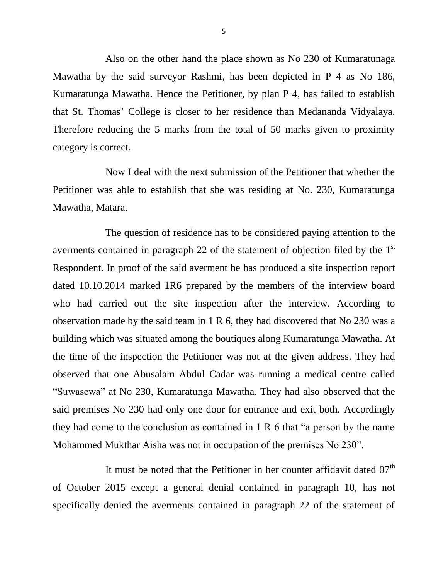Also on the other hand the place shown as No 230 of Kumaratunaga Mawatha by the said surveyor Rashmi, has been depicted in P 4 as No 186, Kumaratunga Mawatha. Hence the Petitioner, by plan P 4, has failed to establish that St. Thomas' College is closer to her residence than Medananda Vidyalaya. Therefore reducing the 5 marks from the total of 50 marks given to proximity category is correct.

Now I deal with the next submission of the Petitioner that whether the Petitioner was able to establish that she was residing at No. 230, Kumaratunga Mawatha, Matara.

The question of residence has to be considered paying attention to the averments contained in paragraph 22 of the statement of objection filed by the  $1<sup>st</sup>$ Respondent. In proof of the said averment he has produced a site inspection report dated 10.10.2014 marked 1R6 prepared by the members of the interview board who had carried out the site inspection after the interview. According to observation made by the said team in 1 R 6, they had discovered that No 230 was a building which was situated among the boutiques along Kumaratunga Mawatha. At the time of the inspection the Petitioner was not at the given address. They had observed that one Abusalam Abdul Cadar was running a medical centre called "Suwasewa" at No 230, Kumaratunga Mawatha. They had also observed that the said premises No 230 had only one door for entrance and exit both. Accordingly they had come to the conclusion as contained in 1 R 6 that "a person by the name Mohammed Mukthar Aisha was not in occupation of the premises No 230".

It must be noted that the Petitioner in her counter affidavit dated 07<sup>th</sup> of October 2015 except a general denial contained in paragraph 10, has not specifically denied the averments contained in paragraph 22 of the statement of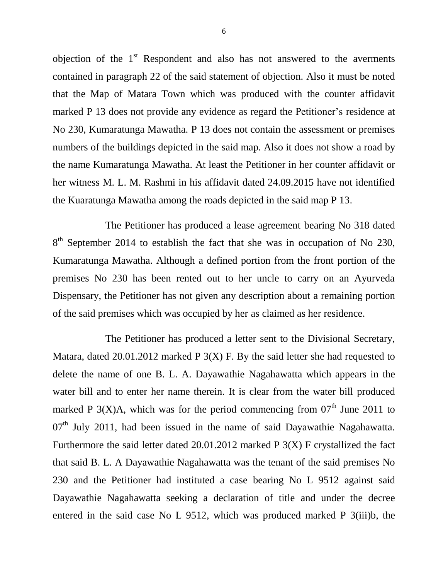objection of the  $1<sup>st</sup>$  Respondent and also has not answered to the averments contained in paragraph 22 of the said statement of objection. Also it must be noted that the Map of Matara Town which was produced with the counter affidavit marked P 13 does not provide any evidence as regard the Petitioner's residence at No 230, Kumaratunga Mawatha. P 13 does not contain the assessment or premises numbers of the buildings depicted in the said map. Also it does not show a road by the name Kumaratunga Mawatha. At least the Petitioner in her counter affidavit or her witness M. L. M. Rashmi in his affidavit dated 24.09.2015 have not identified the Kuaratunga Mawatha among the roads depicted in the said map P 13.

The Petitioner has produced a lease agreement bearing No 318 dated  $8<sup>th</sup>$  September 2014 to establish the fact that she was in occupation of No 230, Kumaratunga Mawatha. Although a defined portion from the front portion of the premises No 230 has been rented out to her uncle to carry on an Ayurveda Dispensary, the Petitioner has not given any description about a remaining portion of the said premises which was occupied by her as claimed as her residence.

The Petitioner has produced a letter sent to the Divisional Secretary, Matara, dated 20.01.2012 marked  $P_3(X)$  F. By the said letter she had requested to delete the name of one B. L. A. Dayawathie Nagahawatta which appears in the water bill and to enter her name therein. It is clear from the water bill produced marked P  $3(X)A$ , which was for the period commencing from  $07<sup>th</sup>$  June 2011 to  $07<sup>th</sup>$  July 2011, had been issued in the name of said Dayawathie Nagahawatta. Furthermore the said letter dated 20.01.2012 marked P 3(X) F crystallized the fact that said B. L. A Dayawathie Nagahawatta was the tenant of the said premises No 230 and the Petitioner had instituted a case bearing No L 9512 against said Dayawathie Nagahawatta seeking a declaration of title and under the decree entered in the said case No L 9512, which was produced marked P 3(iii)b, the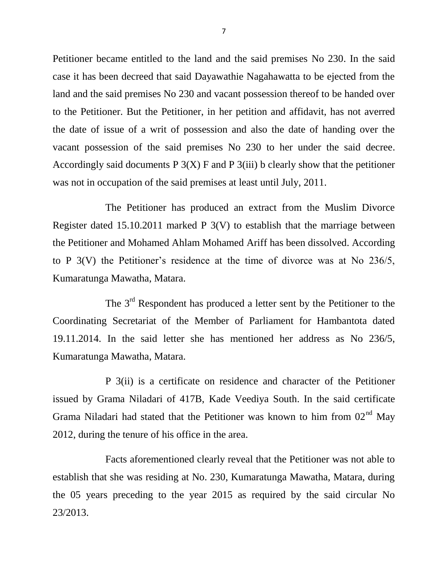Petitioner became entitled to the land and the said premises No 230. In the said case it has been decreed that said Dayawathie Nagahawatta to be ejected from the land and the said premises No 230 and vacant possession thereof to be handed over to the Petitioner. But the Petitioner, in her petition and affidavit, has not averred the date of issue of a writ of possession and also the date of handing over the vacant possession of the said premises No 230 to her under the said decree. Accordingly said documents P  $3(X)$  F and P  $3(iii)$  b clearly show that the petitioner was not in occupation of the said premises at least until July, 2011.

The Petitioner has produced an extract from the Muslim Divorce Register dated 15.10.2011 marked P 3(V) to establish that the marriage between the Petitioner and Mohamed Ahlam Mohamed Ariff has been dissolved. According to P 3(V) the Petitioner's residence at the time of divorce was at No 236/5, Kumaratunga Mawatha, Matara.

The 3<sup>rd</sup> Respondent has produced a letter sent by the Petitioner to the Coordinating Secretariat of the Member of Parliament for Hambantota dated 19.11.2014. In the said letter she has mentioned her address as No 236/5, Kumaratunga Mawatha, Matara.

P 3(ii) is a certificate on residence and character of the Petitioner issued by Grama Niladari of 417B, Kade Veediya South. In the said certificate Grama Niladari had stated that the Petitioner was known to him from  $02<sup>nd</sup>$  May 2012, during the tenure of his office in the area.

Facts aforementioned clearly reveal that the Petitioner was not able to establish that she was residing at No. 230, Kumaratunga Mawatha, Matara, during the 05 years preceding to the year 2015 as required by the said circular No 23/2013.